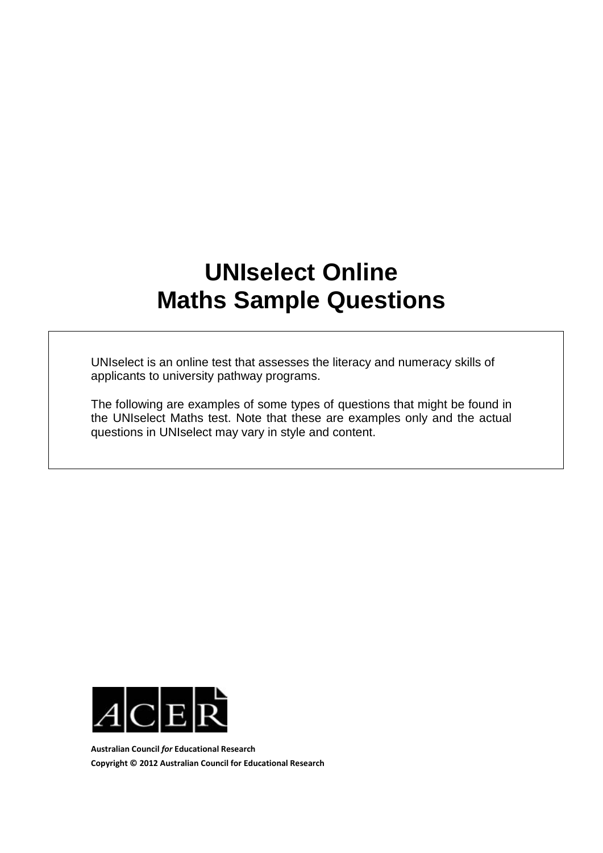## **UNIselect Online Maths Sample Questions**

UNIselect is an online test that assesses the literacy and numeracy skills of applicants to university pathway programs.

The following are examples of some types of questions that might be found in the UNIselect Maths test. Note that these are examples only and the actual questions in UNIselect may vary in style and content.



**Australian Council** *for* **Educational Research Copyright © 2012 Australian Council for Educational Research**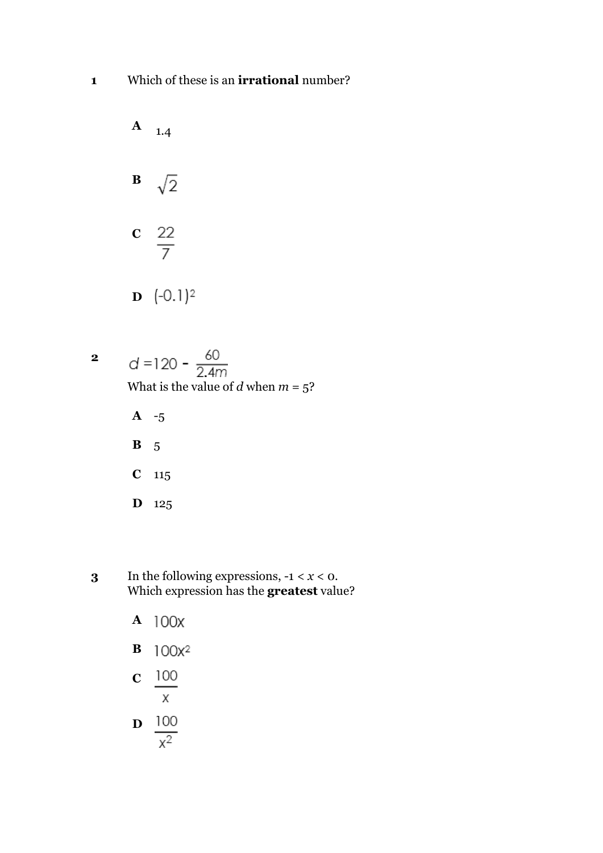

 $d = 120 - \frac{60}{2.4m}$ What is the value of  $d$  when  $m = 5$ ?

**A** -5 **B** 5 **C** 115 **D** 125

**2**

- **3** In the following expressions,  $-1 < x < 0$ . Which expression has the **greatest** value?
	- **A**  $100x^2$ **B**
	- 100 **C**  $\mathsf{X}$

$$
\mathbf{D} \quad \frac{100}{x^2}
$$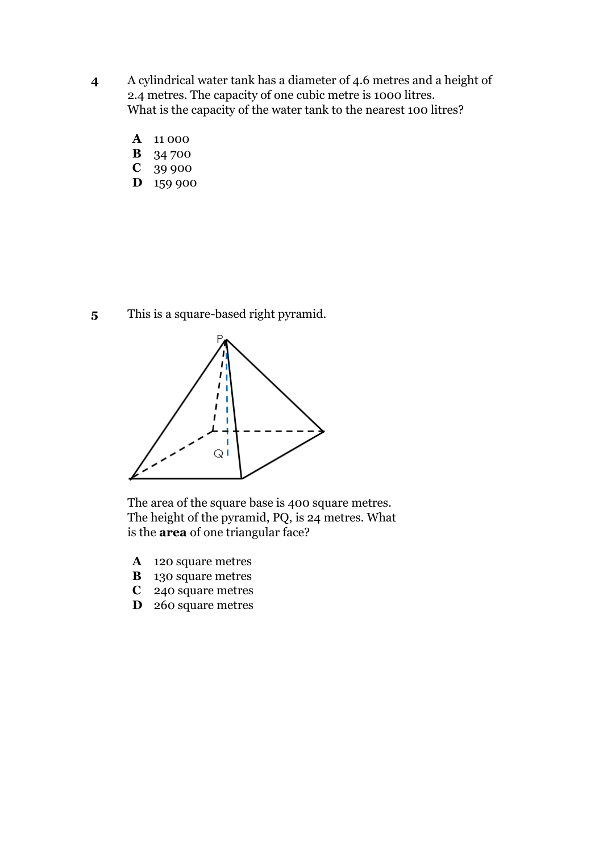- **4** A cylindrical water tank has a diameter of 4.6 metres and a height of 2.4 metres. The capacity of one cubic metre is 1000 litres. What is the capacity of the water tank to the nearest 100 litres?
	- **A** 11 000
	- **B** 34 700
	- **C** 39 900
	- **D** 159 900

**5** This is a square-based right pyramid.



The area of the square base is 400 square metres. The height of the pyramid, PQ, is 24 metres. What is the **area** of one triangular face?

- **A** 120 square metres
- **B** 130 square metres
- **C** 240 square metres
- **D** 260 square metres